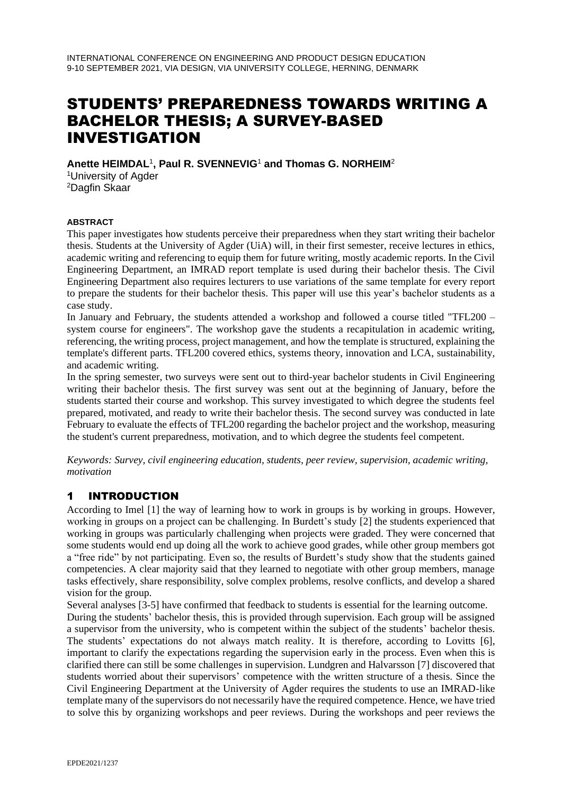# STUDENTS' PREPAREDNESS TOWARDS WRITING A BACHELOR THESIS; A SURVEY-BASED INVESTIGATION

**Anette HEIMDAL**<sup>1</sup> **, Paul R. SVENNEVIG**<sup>1</sup> **and Thomas G. NORHEIM**<sup>2</sup> <sup>1</sup>University of Agder <sup>2</sup>Dagfin Skaar

#### **ABSTRACT**

This paper investigates how students perceive their preparedness when they start writing their bachelor thesis. Students at the University of Agder (UiA) will, in their first semester, receive lectures in ethics, academic writing and referencing to equip them for future writing, mostly academic reports. In the Civil Engineering Department, an IMRAD report template is used during their bachelor thesis. The Civil Engineering Department also requires lecturers to use variations of the same template for every report to prepare the students for their bachelor thesis. This paper will use this year's bachelor students as a case study.

In January and February, the students attended a workshop and followed a course titled "TFL200 – system course for engineers". The workshop gave the students a recapitulation in academic writing, referencing, the writing process, project management, and how the template is structured, explaining the template's different parts. TFL200 covered ethics, systems theory, innovation and LCA, sustainability, and academic writing.

In the spring semester, two surveys were sent out to third-year bachelor students in Civil Engineering writing their bachelor thesis. The first survey was sent out at the beginning of January, before the students started their course and workshop. This survey investigated to which degree the students feel prepared, motivated, and ready to write their bachelor thesis. The second survey was conducted in late February to evaluate the effects of TFL200 regarding the bachelor project and the workshop, measuring the student's current preparedness, motivation, and to which degree the students feel competent.

*Keywords: Survey, civil engineering education, students, peer review, supervision, academic writing, motivation*

# 1 INTRODUCTION

According to Imel [1] the way of learning how to work in groups is by working in groups. However, working in groups on a project can be challenging. In Burdett's study [2] the students experienced that working in groups was particularly challenging when projects were graded. They were concerned that some students would end up doing all the work to achieve good grades, while other group members got a "free ride" by not participating. Even so, the results of Burdett's study show that the students gained competencies. A clear majority said that they learned to negotiate with other group members, manage tasks effectively, share responsibility, solve complex problems, resolve conflicts, and develop a shared vision for the group.

Several analyses [3-5] have confirmed that feedback to students is essential for the learning outcome. During the students' bachelor thesis, this is provided through supervision. Each group will be assigned a supervisor from the university, who is competent within the subject of the students' bachelor thesis. The students' expectations do not always match reality. It is therefore, according to Lovitts [6], important to clarify the expectations regarding the supervision early in the process. Even when this is clarified there can still be some challenges in supervision. Lundgren and Halvarsson [7] discovered that students worried about their supervisors' competence with the written structure of a thesis. Since the Civil Engineering Department at the University of Agder requires the students to use an IMRAD-like template many of the supervisors do not necessarily have the required competence. Hence, we have tried to solve this by organizing workshops and peer reviews. During the workshops and peer reviews the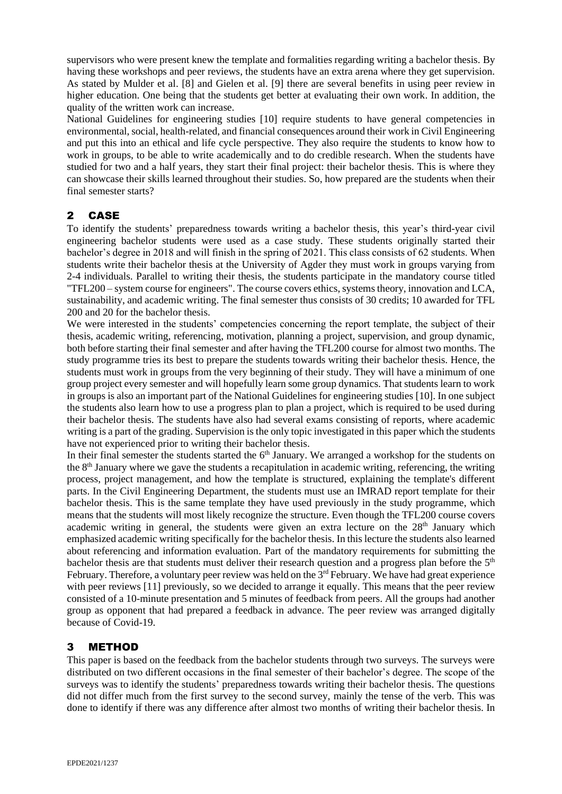supervisors who were present knew the template and formalities regarding writing a bachelor thesis. By having these workshops and peer reviews, the students have an extra arena where they get supervision. As stated by Mulder et al. [8] and Gielen et al. [9] there are several benefits in using peer review in higher education. One being that the students get better at evaluating their own work. In addition, the quality of the written work can increase.

National Guidelines for engineering studies [10] require students to have general competencies in environmental, social, health-related, and financial consequences around their work in Civil Engineering and put this into an ethical and life cycle perspective. They also require the students to know how to work in groups, to be able to write academically and to do credible research. When the students have studied for two and a half years, they start their final project: their bachelor thesis. This is where they can showcase their skills learned throughout their studies. So, how prepared are the students when their final semester starts?

## 2 CASE

To identify the students' preparedness towards writing a bachelor thesis, this year's third-year civil engineering bachelor students were used as a case study. These students originally started their bachelor's degree in 2018 and will finish in the spring of 2021. This class consists of 62 students. When students write their bachelor thesis at the University of Agder they must work in groups varying from 2-4 individuals. Parallel to writing their thesis, the students participate in the mandatory course titled "TFL200 – system course for engineers". The course covers ethics, systems theory, innovation and LCA, sustainability, and academic writing. The final semester thus consists of 30 credits; 10 awarded for TFL 200 and 20 for the bachelor thesis.

We were interested in the students' competencies concerning the report template, the subject of their thesis, academic writing, referencing, motivation, planning a project, supervision, and group dynamic, both before starting their final semester and after having the TFL200 course for almost two months. The study programme tries its best to prepare the students towards writing their bachelor thesis. Hence, the students must work in groups from the very beginning of their study. They will have a minimum of one group project every semester and will hopefully learn some group dynamics. That students learn to work in groups is also an important part of the National Guidelines for engineering studies [10]. In one subject the students also learn how to use a progress plan to plan a project, which is required to be used during their bachelor thesis. The students have also had several exams consisting of reports, where academic writing is a part of the grading. Supervision is the only topic investigated in this paper which the students have not experienced prior to writing their bachelor thesis.

In their final semester the students started the  $6<sup>th</sup>$  January. We arranged a workshop for the students on the 8<sup>th</sup> January where we gave the students a recapitulation in academic writing, referencing, the writing process, project management, and how the template is structured, explaining the template's different parts. In the Civil Engineering Department, the students must use an IMRAD report template for their bachelor thesis. This is the same template they have used previously in the study programme, which means that the students will most likely recognize the structure. Even though the TFL200 course covers academic writing in general, the students were given an extra lecture on the  $28<sup>th</sup>$  January which emphasized academic writing specifically for the bachelor thesis. In this lecture the students also learned about referencing and information evaluation. Part of the mandatory requirements for submitting the bachelor thesis are that students must deliver their research question and a progress plan before the  $5<sup>th</sup>$ February. Therefore, a voluntary peer review was held on the 3<sup>rd</sup> February. We have had great experience with peer reviews [11] previously, so we decided to arrange it equally. This means that the peer review consisted of a 10-minute presentation and 5 minutes of feedback from peers. All the groups had another group as opponent that had prepared a feedback in advance. The peer review was arranged digitally because of Covid-19.

### 3 METHOD

This paper is based on the feedback from the bachelor students through two surveys. The surveys were distributed on two different occasions in the final semester of their bachelor's degree. The scope of the surveys was to identify the students' preparedness towards writing their bachelor thesis. The questions did not differ much from the first survey to the second survey, mainly the tense of the verb. This was done to identify if there was any difference after almost two months of writing their bachelor thesis. In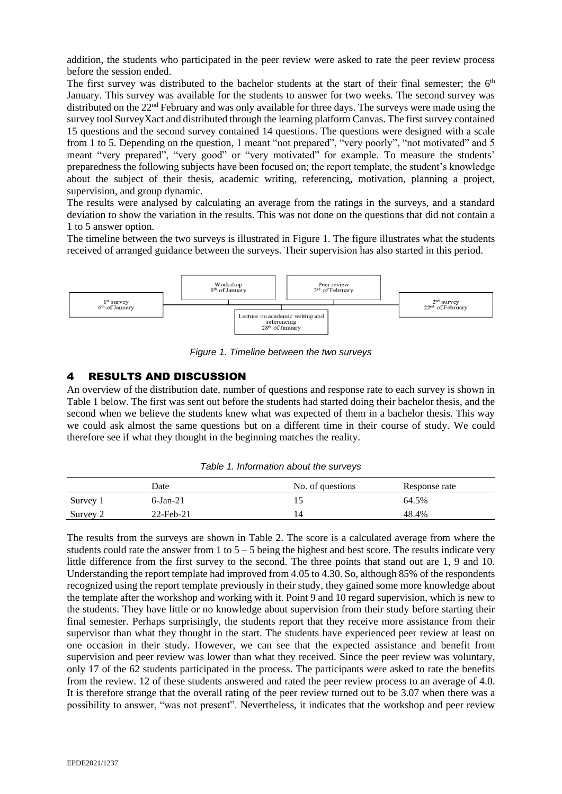addition, the students who participated in the peer review were asked to rate the peer review process before the session ended.

The first survey was distributed to the bachelor students at the start of their final semester; the  $6<sup>th</sup>$ January. This survey was available for the students to answer for two weeks. The second survey was distributed on the 22<sup>nd</sup> February and was only available for three days. The surveys were made using the survey tool SurveyXact and distributed through the learning platform Canvas. The first survey contained 15 questions and the second survey contained 14 questions. The questions were designed with a scale from 1 to 5. Depending on the question, 1 meant "not prepared", "very poorly", "not motivated" and 5 meant "very prepared", "very good" or "very motivated" for example. To measure the students' preparedness the following subjects have been focused on; the report template, the student's knowledge about the subject of their thesis, academic writing, referencing, motivation, planning a project, supervision, and group dynamic.

The results were analysed by calculating an average from the ratings in the surveys, and a standard deviation to show the variation in the results. This was not done on the questions that did not contain a 1 to 5 answer option.

The timeline between the two surveys is illustrated in Figure 1. The figure illustrates what the students received of arranged guidance between the surveys. Their supervision has also started in this period.



*Figure 1. Timeline between the two surveys*

#### 4 RESULTS AND DISCUSSION

An overview of the distribution date, number of questions and response rate to each survey is shown in Table 1 below. The first was sent out before the students had started doing their bachelor thesis, and the second when we believe the students knew what was expected of them in a bachelor thesis. This way we could ask almost the same questions but on a different time in their course of study. We could therefore see if what they thought in the beginning matches the reality.

|            | Date         | No. of questions | Response rate |
|------------|--------------|------------------|---------------|
| Survey 1   | $6$ -Jan-21  |                  | 64.5%         |
| Survey $2$ | $22$ -Feb-21 |                  | 48.4%         |

*Table 1. Information about the surveys*

The results from the surveys are shown in Table 2. The score is a calculated average from where the students could rate the answer from 1 to  $5 - 5$  being the highest and best score. The results indicate very little difference from the first survey to the second. The three points that stand out are 1, 9 and 10. Understanding the report template had improved from 4.05 to 4.30. So, although 85% of the respondents recognized using the report template previously in their study, they gained some more knowledge about the template after the workshop and working with it. Point 9 and 10 regard supervision, which is new to the students. They have little or no knowledge about supervision from their study before starting their final semester. Perhaps surprisingly, the students report that they receive more assistance from their supervisor than what they thought in the start. The students have experienced peer review at least on one occasion in their study. However, we can see that the expected assistance and benefit from supervision and peer review was lower than what they received. Since the peer review was voluntary, only 17 of the 62 students participated in the process. The participants were asked to rate the benefits from the review. 12 of these students answered and rated the peer review process to an average of 4.0. It is therefore strange that the overall rating of the peer review turned out to be 3.07 when there was a possibility to answer, "was not present". Nevertheless, it indicates that the workshop and peer review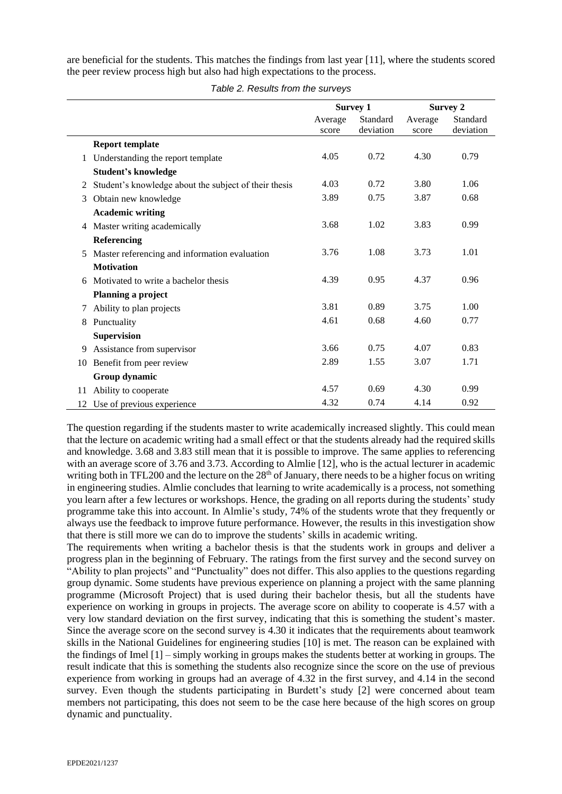are beneficial for the students. This matches the findings from last year [11], where the students scored the peer review process high but also had high expectations to the process.

|    |                                                       | <b>Survey 1</b> |           | <b>Survey 2</b> |           |
|----|-------------------------------------------------------|-----------------|-----------|-----------------|-----------|
|    |                                                       | Average         | Standard  | Average         | Standard  |
|    |                                                       | score           | deviation | score           | deviation |
|    | <b>Report template</b>                                |                 |           |                 |           |
| 1  | Understanding the report template                     | 4.05            | 0.72      | 4.30            | 0.79      |
|    | <b>Student's knowledge</b>                            |                 |           |                 |           |
| 2  | Student's knowledge about the subject of their thesis | 4.03            | 0.72      | 3.80            | 1.06      |
| 3  | Obtain new knowledge                                  | 3.89            | 0.75      | 3.87            | 0.68      |
|    | <b>Academic writing</b>                               |                 |           |                 |           |
| 4  | Master writing academically                           | 3.68            | 1.02      | 3.83            | 0.99      |
|    | Referencing                                           |                 |           |                 |           |
| 5  | Master referencing and information evaluation         | 3.76            | 1.08      | 3.73            | 1.01      |
|    | <b>Motivation</b>                                     |                 |           |                 |           |
| 6  | Motivated to write a bachelor thesis                  | 4.39            | 0.95      | 4.37            | 0.96      |
|    | Planning a project                                    |                 |           |                 |           |
| 7  | Ability to plan projects                              | 3.81            | 0.89      | 3.75            | 1.00      |
| 8  | Punctuality                                           | 4.61            | 0.68      | 4.60            | 0.77      |
|    | <b>Supervision</b>                                    |                 |           |                 |           |
| 9  | Assistance from supervisor                            | 3.66            | 0.75      | 4.07            | 0.83      |
| 10 | Benefit from peer review                              | 2.89            | 1.55      | 3.07            | 1.71      |
|    | Group dynamic                                         |                 |           |                 |           |
| 11 | Ability to cooperate                                  | 4.57            | 0.69      | 4.30            | 0.99      |
| 12 | Use of previous experience                            | 4.32            | 0.74      | 4.14            | 0.92      |

*Table 2. Results from the surveys*

The question regarding if the students master to write academically increased slightly. This could mean that the lecture on academic writing had a small effect or that the students already had the required skills and knowledge. 3.68 and 3.83 still mean that it is possible to improve. The same applies to referencing with an average score of 3.76 and 3.73. According to Almlie [12], who is the actual lecturer in academic writing both in TFL200 and the lecture on the 28<sup>th</sup> of January, there needs to be a higher focus on writing in engineering studies. Almlie concludes that learning to write academically is a process, not something you learn after a few lectures or workshops. Hence, the grading on all reports during the students' study programme take this into account. In Almlie's study, 74% of the students wrote that they frequently or always use the feedback to improve future performance. However, the results in this investigation show that there is still more we can do to improve the students' skills in academic writing.

The requirements when writing a bachelor thesis is that the students work in groups and deliver a progress plan in the beginning of February. The ratings from the first survey and the second survey on "Ability to plan projects" and "Punctuality" does not differ. This also applies to the questions regarding group dynamic. Some students have previous experience on planning a project with the same planning programme (Microsoft Project) that is used during their bachelor thesis, but all the students have experience on working in groups in projects. The average score on ability to cooperate is 4.57 with a very low standard deviation on the first survey, indicating that this is something the student's master. Since the average score on the second survey is 4.30 it indicates that the requirements about teamwork skills in the National Guidelines for engineering studies [10] is met. The reason can be explained with the findings of Imel [1] – simply working in groups makes the students better at working in groups. The result indicate that this is something the students also recognize since the score on the use of previous experience from working in groups had an average of 4.32 in the first survey, and 4.14 in the second survey. Even though the students participating in Burdett's study [2] were concerned about team members not participating, this does not seem to be the case here because of the high scores on group dynamic and punctuality.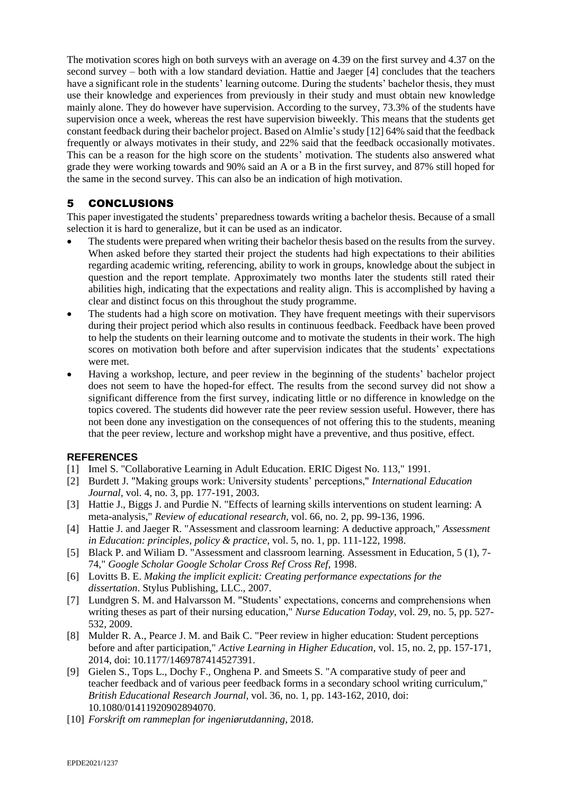The motivation scores high on both surveys with an average on 4.39 on the first survey and 4.37 on the second survey – both with a low standard deviation. Hattie and Jaeger [4] concludes that the teachers have a significant role in the students' learning outcome. During the students' bachelor thesis, they must use their knowledge and experiences from previously in their study and must obtain new knowledge mainly alone. They do however have supervision. According to the survey, 73.3% of the students have supervision once a week, whereas the rest have supervision biweekly. This means that the students get constant feedback during their bachelor project. Based on Almlie's study [12] 64% said that the feedback frequently or always motivates in their study, and 22% said that the feedback occasionally motivates. This can be a reason for the high score on the students' motivation. The students also answered what grade they were working towards and 90% said an A or a B in the first survey, and 87% still hoped for the same in the second survey. This can also be an indication of high motivation.

### 5 CONCLUSIONS

This paper investigated the students' preparedness towards writing a bachelor thesis. Because of a small selection it is hard to generalize, but it can be used as an indicator.

- The students were prepared when writing their bachelor thesis based on the results from the survey. When asked before they started their project the students had high expectations to their abilities regarding academic writing, referencing, ability to work in groups, knowledge about the subject in question and the report template. Approximately two months later the students still rated their abilities high, indicating that the expectations and reality align. This is accomplished by having a clear and distinct focus on this throughout the study programme.
- The students had a high score on motivation. They have frequent meetings with their supervisors during their project period which also results in continuous feedback. Feedback have been proved to help the students on their learning outcome and to motivate the students in their work. The high scores on motivation both before and after supervision indicates that the students' expectations were met.
- Having a workshop, lecture, and peer review in the beginning of the students' bachelor project does not seem to have the hoped-for effect. The results from the second survey did not show a significant difference from the first survey, indicating little or no difference in knowledge on the topics covered. The students did however rate the peer review session useful. However, there has not been done any investigation on the consequences of not offering this to the students, meaning that the peer review, lecture and workshop might have a preventive, and thus positive, effect.

#### **REFERENCES**

- [1] Imel S. "Collaborative Learning in Adult Education. ERIC Digest No. 113," 1991.
- [2] Burdett J. "Making groups work: University students' perceptions," *International Education Journal,* vol. 4, no. 3, pp. 177-191, 2003.
- [3] Hattie J., Biggs J. and Purdie N. "Effects of learning skills interventions on student learning: A meta-analysis," *Review of educational research,* vol. 66, no. 2, pp. 99-136, 1996.
- [4] Hattie J. and Jaeger R. "Assessment and classroom learning: A deductive approach," *Assessment in Education: principles, policy & practice,* vol. 5, no. 1, pp. 111-122, 1998.
- [5] Black P. and Wiliam D. "Assessment and classroom learning. Assessment in Education, 5 (1), 7- 74," *Google Scholar Google Scholar Cross Ref Cross Ref,* 1998.
- [6] Lovitts B. E. *Making the implicit explicit: Creating performance expectations for the dissertation*. Stylus Publishing, LLC., 2007.
- [7] Lundgren S. M. and Halvarsson M. "Students' expectations, concerns and comprehensions when writing theses as part of their nursing education," *Nurse Education Today,* vol. 29, no. 5, pp. 527- 532, 2009.
- [8] Mulder R. A., Pearce J. M. and Baik C. "Peer review in higher education: Student perceptions before and after participation," *Active Learning in Higher Education,* vol. 15, no. 2, pp. 157-171, 2014, doi: 10.1177/1469787414527391.
- [9] Gielen S., Tops L., Dochy F., Onghena P. and Smeets S. "A comparative study of peer and teacher feedback and of various peer feedback forms in a secondary school writing curriculum," *British Educational Research Journal,* vol. 36, no. 1, pp. 143-162, 2010, doi: 10.1080/01411920902894070.
- [10] *Forskrift om rammeplan for ingeniørutdanning*, 2018.